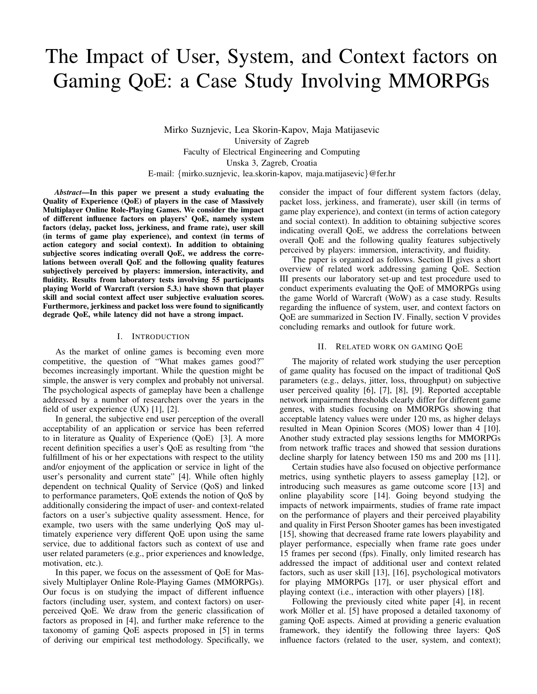# The Impact of User, System, and Context factors on Gaming QoE: a Case Study Involving MMORPGs

Mirko Suznjevic, Lea Skorin-Kapov, Maja Matijasevic University of Zagreb Faculty of Electrical Engineering and Computing Unska 3, Zagreb, Croatia E-mail: {mirko.suznjevic, lea.skorin-kapov, maja.matijasevic}@fer.hr

*Abstract*—In this paper we present a study evaluating the Quality of Experience (QoE) of players in the case of Massively Multiplayer Online Role-Playing Games. We consider the impact of different influence factors on players' QoE, namely system factors (delay, packet loss, jerkiness, and frame rate), user skill (in terms of game play experience), and context (in terms of action category and social context). In addition to obtaining subjective scores indicating overall QoE, we address the correlations between overall QoE and the following quality features subjectively perceived by players: immersion, interactivity, and fluidity. Results from laboratory tests involving 55 participants playing World of Warcraft (version 5.3.) have shown that player skill and social context affect user subjective evaluation scores. Furthermore, jerkiness and packet loss were found to significantly degrade QoE, while latency did not have a strong impact.

## I. INTRODUCTION

As the market of online games is becoming even more competitive, the question of "What makes games good?" becomes increasingly important. While the question might be simple, the answer is very complex and probably not universal. The psychological aspects of gameplay have been a challenge addressed by a number of researchers over the years in the field of user experience (UX) [1], [2].

In general, the subjective end user perception of the overall acceptability of an application or service has been referred to in literature as Quality of Experience (QoE) [3]. A more recent definition specifies a user's QoE as resulting from "the fulfillment of his or her expectations with respect to the utility and/or enjoyment of the application or service in light of the user's personality and current state" [4]. While often highly dependent on technical Quality of Service (QoS) and linked to performance parameters, QoE extends the notion of QoS by additionally considering the impact of user- and context-related factors on a user's subjective quality assessment. Hence, for example, two users with the same underlying QoS may ultimately experience very different QoE upon using the same service, due to additional factors such as context of use and user related parameters (e.g., prior experiences and knowledge, motivation, etc.).

In this paper, we focus on the assessment of QoE for Massively Multiplayer Online Role-Playing Games (MMORPGs). Our focus is on studying the impact of different influence factors (including user, system, and context factors) on userperceived QoE. We draw from the generic classification of factors as proposed in [4], and further make reference to the taxonomy of gaming QoE aspects proposed in [5] in terms of deriving our empirical test methodology. Specifically, we consider the impact of four different system factors (delay, packet loss, jerkiness, and framerate), user skill (in terms of game play experience), and context (in terms of action category and social context). In addition to obtaining subjective scores indicating overall QoE, we address the correlations between overall QoE and the following quality features subjectively perceived by players: immersion, interactivity, and fluidity.

The paper is organized as follows. Section II gives a short overview of related work addressing gaming QoE. Section III presents our laboratory set-up and test procedure used to conduct experiments evaluating the QoE of MMORPGs using the game World of Warcraft (WoW) as a case study. Results regarding the influence of system, user, and context factors on QoE are summarized in Section IV. Finally, section V provides concluding remarks and outlook for future work.

## II. RELATED WORK ON GAMING QOE

The majority of related work studying the user perception of game quality has focused on the impact of traditional QoS parameters (e.g., delays, jitter, loss, throughput) on subjective user perceived quality [6], [7], [8], [9]. Reported acceptable network impairment thresholds clearly differ for different game genres, with studies focusing on MMORPGs showing that acceptable latency values were under 120 ms, as higher delays resulted in Mean Opinion Scores (MOS) lower than 4 [10]. Another study extracted play sessions lengths for MMORPGs from network traffic traces and showed that session durations decline sharply for latency between 150 ms and 200 ms [11].

Certain studies have also focused on objective performance metrics, using synthetic players to assess gameplay [12], or introducing such measures as game outcome score [13] and online playability score [14]. Going beyond studying the impacts of network impairments, studies of frame rate impact on the performance of players and their perceived playability and quality in First Person Shooter games has been investigated [15], showing that decreased frame rate lowers playability and player performance, especially when frame rate goes under 15 frames per second (fps). Finally, only limited research has addressed the impact of additional user and context related factors, such as user skill [13], [16], psychological motivators for playing MMORPGs [17], or user physical effort and playing context (i.e., interaction with other players) [18].

Following the previously cited white paper [4], in recent work Möller et al. [5] have proposed a detailed taxonomy of gaming QoE aspects. Aimed at providing a generic evaluation framework, they identify the following three layers: QoS influence factors (related to the user, system, and context);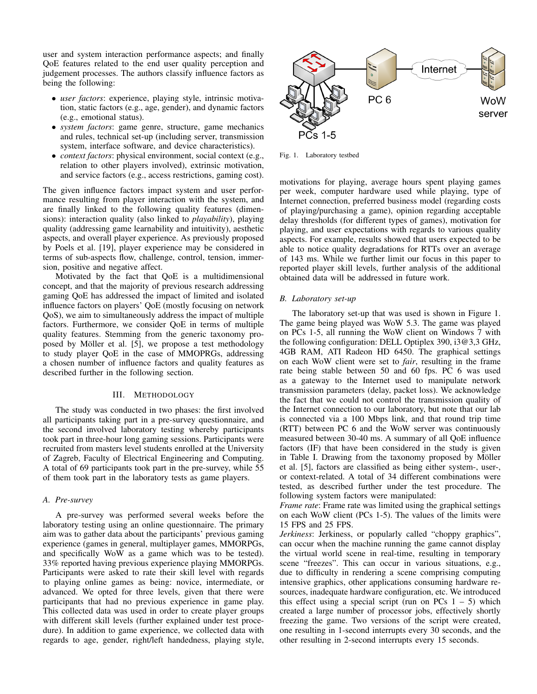user and system interaction performance aspects; and finally QoE features related to the end user quality perception and judgement processes. The authors classify influence factors as being the following:

- *user factors*: experience, playing style, intrinsic motivation, static factors (e.g., age, gender), and dynamic factors (e.g., emotional status).
- *system factors*: game genre, structure, game mechanics and rules, technical set-up (including server, transmission system, interface software, and device characteristics).
- *context factors*: physical environment, social context (e.g., relation to other players involved), extrinsic motivation, and service factors (e.g., access restrictions, gaming cost).

The given influence factors impact system and user performance resulting from player interaction with the system, and are finally linked to the following quality features (dimensions): interaction quality (also linked to *playability*), playing quality (addressing game learnability and intuitivity), aesthetic aspects, and overall player experience. As previously proposed by Poels et al. [19], player experience may be considered in terms of sub-aspects flow, challenge, control, tension, immersion, positive and negative affect.

Motivated by the fact that QoE is a multidimensional concept, and that the majority of previous research addressing gaming QoE has addressed the impact of limited and isolated influence factors on players' QoE (mostly focusing on network QoS), we aim to simultaneously address the impact of multiple factors. Furthermore, we consider QoE in terms of multiple quality features. Stemming from the generic taxonomy proposed by Möller et al. [5], we propose a test methodology to study player QoE in the case of MMOPRGs, addressing a chosen number of influence factors and quality features as described further in the following section.

### III. METHODOLOGY

The study was conducted in two phases: the first involved all participants taking part in a pre-survey questionnaire, and the second involved laboratory testing whereby participants took part in three-hour long gaming sessions. Participants were recruited from masters level students enrolled at the University of Zagreb, Faculty of Electrical Engineering and Computing. A total of 69 participants took part in the pre-survey, while 55 of them took part in the laboratory tests as game players.

# *A. Pre-survey*

A pre-survey was performed several weeks before the laboratory testing using an online questionnaire. The primary aim was to gather data about the participants' previous gaming experience (games in general, multiplayer games, MMORPGs, and specifically WoW as a game which was to be tested). 33% reported having previous experience playing MMORPGs. Participants were asked to rate their skill level with regards to playing online games as being: novice, intermediate, or advanced. We opted for three levels, given that there were participants that had no previous experience in game play. This collected data was used in order to create player groups with different skill levels (further explained under test procedure). In addition to game experience, we collected data with regards to age, gender, right/left handedness, playing style,



Fig. 1. Laboratory testbed

motivations for playing, average hours spent playing games per week, computer hardware used while playing, type of Internet connection, preferred business model (regarding costs of playing/purchasing a game), opinion regarding acceptable delay thresholds (for different types of games), motivation for playing, and user expectations with regards to various quality aspects. For example, results showed that users expected to be able to notice quality degradations for RTTs over an average of 143 ms. While we further limit our focus in this paper to reported player skill levels, further analysis of the additional obtained data will be addressed in future work.

## *B. Laboratory set-up*

The laboratory set-up that was used is shown in Figure 1. The game being played was WoW 5.3. The game was played on PCs 1-5, all running the WoW client on Windows 7 with the following configuration: DELL Optiplex 390, i3@3,3 GHz, 4GB RAM, ATI Radeon HD 6450. The graphical settings on each WoW client were set to *fair*, resulting in the frame rate being stable between 50 and 60 fps. PC 6 was used as a gateway to the Internet used to manipulate network transmission parameters (delay, packet loss). We acknowledge the fact that we could not control the transmission quality of the Internet connection to our laboratory, but note that our lab is connected via a 100 Mbps link, and that round trip time (RTT) between PC 6 and the WoW server was continuously measured between 30-40 ms. A summary of all QoE influence factors (IF) that have been considered in the study is given in Table I. Drawing from the taxonomy proposed by Möller et al. [5], factors are classified as being either system-, user-, or context-related. A total of 34 different combinations were tested, as described further under the test procedure. The following system factors were manipulated:

*Frame rate*: Frame rate was limited using the graphical settings on each WoW client (PCs 1-5). The values of the limits were 15 FPS and 25 FPS.

*Jerkiness*: Jerkiness, or popularly called "choppy graphics", can occur when the machine running the game cannot display the virtual world scene in real-time, resulting in temporary scene "freezes". This can occur in various situations, e.g., due to difficulty in rendering a scene comprising computing intensive graphics, other applications consuming hardware resources, inadequate hardware configuration, etc. We introduced this effect using a special script (run on PCs  $1 - 5$ ) which created a large number of processor jobs, effectively shortly freezing the game. Two versions of the script were created, one resulting in 1-second interrupts every 30 seconds, and the other resulting in 2-second interrupts every 15 seconds.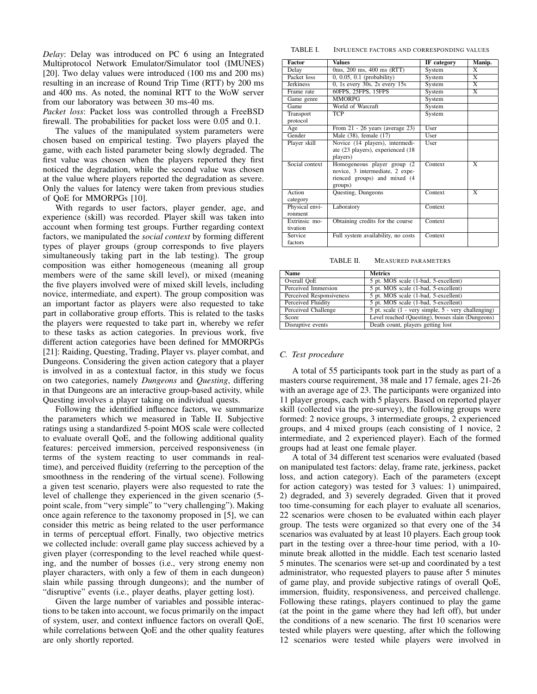*Delay*: Delay was introduced on PC 6 using an Integrated Multiprotocol Network Emulator/Simulator tool (IMUNES) [20]. Two delay values were introduced (100 ms and 200 ms) resulting in an increase of Round Trip Time (RTT) by 200 ms and 400 ms. As noted, the nominal RTT to the WoW server from our laboratory was between 30 ms-40 ms.

*Packet loss*: Packet loss was controlled through a FreeBSD firewall. The probabilities for packet loss were 0.05 and 0.1.

The values of the manipulated system parameters were chosen based on empirical testing. Two players played the game, with each listed parameter being slowly degraded. The first value was chosen when the players reported they first noticed the degradation, while the second value was chosen at the value where players reported the degradation as severe. Only the values for latency were taken from previous studies of QoE for MMORPGs [10].

With regards to user factors, player gender, age, and experience (skill) was recorded. Player skill was taken into account when forming test groups. Further regarding context factors, we manipulated the *social context* by forming different types of player groups (group corresponds to five players simultaneously taking part in the lab testing). The group composition was either homogeneous (meaning all group members were of the same skill level), or mixed (meaning the five players involved were of mixed skill levels, including novice, intermediate, and expert). The group composition was an important factor as players were also requested to take part in collaborative group efforts. This is related to the tasks the players were requested to take part in, whereby we refer to these tasks as action categories. In previous work, five different action categories have been defined for MMORPGs [21]: Raiding, Questing, Trading, Player vs. player combat, and Dungeons. Considering the given action category that a player is involved in as a contextual factor, in this study we focus on two categories, namely *Dungeons* and *Questing*, differing in that Dungeons are an interactive group-based activity, while Questing involves a player taking on individual quests.

Following the identified influence factors, we summarize the parameters which we measured in Table II. Subjective ratings using a standardized 5-point MOS scale were collected to evaluate overall QoE, and the following additional quality features: perceived immersion, perceived responsiveness (in terms of the system reacting to user commands in realtime), and perceived fluidity (referring to the perception of the smoothness in the rendering of the virtual scene). Following a given test scenario, players were also requested to rate the level of challenge they experienced in the given scenario (5 point scale, from "very simple" to "very challenging"). Making once again reference to the taxonomy proposed in [5], we can consider this metric as being related to the user performance in terms of perceptual effort. Finally, two objective metrics we collected include: overall game play success achieved by a given player (corresponding to the level reached while questing, and the number of bosses (i.e., very strong enemy non player characters, with only a few of them in each dungeon) slain while passing through dungeons); and the number of "disruptive" events (i.e., player deaths, player getting lost).

Given the large number of variables and possible interactions to be taken into account, we focus primarily on the impact of system, user, and context influence factors on overall QoE, while correlations between QoE and the other quality features are only shortly reported.

TABLE I. INFLUENCE FACTORS AND CORRESPONDING VALUES

| <b>Factor</b>    | <b>Values</b>                      | IF category | Manip.                  |
|------------------|------------------------------------|-------------|-------------------------|
| Delay            | 0ms, 200 ms, 400 ms (RTT)          | System      | $\overline{X}$          |
| Packet loss      | $0, 0.05, 0.1$ (probability)       | System      | $\overline{X}$          |
| <b>Jerkiness</b> | $0$ , 1s every 30s, 2s every 15s   | System      | $\overline{\mathbf{x}}$ |
| Frame rate       | 60FPS, 25FPS, 15FPS                | System      | X                       |
| Game genre       | <b>MMORPG</b>                      | System      |                         |
| Game             | World of Warcraft                  | System      |                         |
| Transport        | <b>TCP</b>                         | System      |                         |
| protocol         |                                    |             |                         |
| Age              | From $21 - 26$ years (average 23)  | User        |                         |
| Gender           | Male (38), female (17)             | User        |                         |
| Player skill     | Novice (14 players), intermedi-    | User        |                         |
|                  | ate (23 players), experienced (18  |             |                         |
|                  | players)                           |             |                         |
| Social context   | Homogeneous player group (2)       | Context     | X                       |
|                  | novice, 3 intermediate, 2 expe-    |             |                         |
|                  | rienced groups) and mixed (4       |             |                         |
|                  | groups)                            |             |                         |
| Action           | Questing, Dungeons                 | Context     | X                       |
| category         |                                    |             |                         |
| Physical envi-   | Laboratory                         | Context     |                         |
| ronment          |                                    |             |                         |
| Extrinsic mo-    | Obtaining credits for the course   | Context     |                         |
| tivation         |                                    |             |                         |
| Service          | Full system availability, no costs | Context     |                         |
| factors          |                                    |             |                         |

TABLE II. MEASURED PARAMETERS

| <b>Name</b>              | <b>Metrics</b>                                                      |
|--------------------------|---------------------------------------------------------------------|
| Overall OoE              | 5 pt. MOS scale (1-bad, 5-excellent)                                |
| Perceived Immersion      | 5 pt. MOS scale (1-bad, 5-excellent)                                |
| Perceived Responsiveness | 5 pt. MOS scale (1-bad, 5-excellent)                                |
| Perceived Fluidity       | 5 pt. MOS scale (1-bad, 5-excellent)                                |
| Perceived Challenge      | 5 pt. scale $(1 - \text{very simple}, 5 - \text{very challenging})$ |
| Score                    | Level reached (Questing), bosses slain (Dungeons)                   |
| Disruptive events        | Death count, players getting lost                                   |

## *C. Test procedure*

A total of 55 participants took part in the study as part of a masters course requirement, 38 male and 17 female, ages 21-26 with an average age of 23. The participants were organized into 11 player groups, each with 5 players. Based on reported player skill (collected via the pre-survey), the following groups were formed: 2 novice groups, 3 intermediate groups, 2 experienced groups, and 4 mixed groups (each consisting of 1 novice, 2 intermediate, and 2 experienced player). Each of the formed groups had at least one female player.

A total of 34 different test scenarios were evaluated (based on manipulated test factors: delay, frame rate, jerkiness, packet loss, and action category). Each of the parameters (except for action category) was tested for 3 values: 1) unimpaired, 2) degraded, and 3) severely degraded. Given that it proved too time-consuming for each player to evaluate all scenarios, 22 scenarios were chosen to be evaluated within each player group. The tests were organized so that every one of the 34 scenarios was evaluated by at least 10 players. Each group took part in the testing over a three-hour time period, with a 10 minute break allotted in the middle. Each test scenario lasted 5 minutes. The scenarios were set-up and coordinated by a test administrator, who requested players to pause after 5 minutes of game play, and provide subjective ratings of overall QoE, immersion, fluidity, responsiveness, and perceived challenge. Following these ratings, players continued to play the game (at the point in the game where they had left off), but under the conditions of a new scenario. The first 10 scenarios were tested while players were questing, after which the following 12 scenarios were tested while players were involved in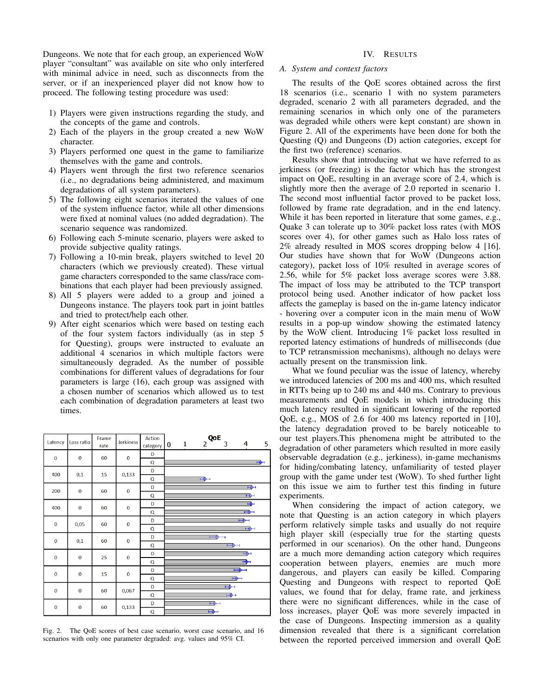Dungeons. We note that for each group, an experienced WoW player "consultant" was available on site who only interfered with minimal advice in need, such as disconnects from the server, or if an inexperienced player did not know how to proceed. The following testing procedure was used:

- 1) Players were given instructions regarding the study, and the concepts of the game and controls.
- 2) Each of the players in the group created a new WoW character.
- 3) Players performed one quest in the game to familiarize themselves with the game and controls.
- 4) Players went through the first two reference scenarios (i.e., no degradations being administered, and maximum degradations of all system parameters).
- 5) The following eight scenarios iterated the values of one of the system influence factor, while all other dimensions were fixed at nominal values (no added degradation). The scenario sequence was randomized.
- 6) Following each 5-minute scenario, players were asked to provide subjective quality ratings.
- 7) Following a 10-min break, players switched to level 20 characters (which we previously created). These virtual game characters corresponded to the same class/race combinations that each player had been previously assigned.
- 8) All 5 players were added to a group and joined a Dungeons instance. The players took part in joint battles and tried to protect/help each other.
- 9) After eight scenarios which were based on testing each of the four system factors individually (as in step 5 for Questing), groups were instructed to evaluate an additional 4 scenarios in which multiple factors were simultaneously degraded. As the number of possible combinations for different values of degradations for four parameters is large (16), each group was assigned with a chosen number of scenarios which allowed us to test each combination of degradation parameters at least two times.

| Latency   | Loss ratio | Frame<br>rate  | <b>Jerkiness</b> | <b>Action</b><br>category | 0        | 1 | 2                        | QoE           | 3                        |                        | 4                        | 5                       |   |  |
|-----------|------------|----------------|------------------|---------------------------|----------|---|--------------------------|---------------|--------------------------|------------------------|--------------------------|-------------------------|---|--|
|           | $\bf{0}$   | 60             |                  | D                         |          |   |                          |               |                          |                        |                          |                         |   |  |
| $\bf{0}$  |            |                | $\pmb{0}$        | Q                         |          |   |                          |               |                          |                        |                          | $\overline{\mathbf{H}}$ |   |  |
| 400       |            | 15             |                  | D                         |          |   |                          |               |                          |                        |                          |                         |   |  |
|           | 0,1        |                | 0,133            | Q                         |          |   | $\overline{\phantom{0}}$ |               |                          |                        |                          |                         |   |  |
| 200       | $\bf{0}$   | 60             | $\bf{0}$         | D                         |          |   |                          |               |                          |                        | $\overline{H}$           |                         |   |  |
|           |            |                |                  | Q                         |          |   |                          |               |                          |                        | $\overline{H}$           |                         |   |  |
| 400       | $\bf{0}$   | 60             | $\bf{0}$         | D                         |          |   |                          |               |                          |                        | $\overline{H}$           |                         |   |  |
|           |            |                |                  | Q                         |          |   |                          |               |                          |                        | $\overline{\phantom{a}}$ |                         |   |  |
| $\bf{0}$  | 0,05       | 60             | $\bf{0}$         | D                         |          |   |                          |               |                          |                        | $\overline{\phantom{a}}$ |                         |   |  |
|           |            |                |                  | Q                         |          |   |                          |               |                          |                        | $\overline{\bullet}$     |                         |   |  |
| $\bf{0}$  | 0,1        | 60             | $\bf{0}$         | D                         |          |   |                          | $\rightarrow$ | ÷                        |                        |                          |                         |   |  |
|           |            |                |                  | Q                         |          |   |                          |               |                          | ℡                      |                          |                         |   |  |
| $\bf{0}$  |            | $\bf{0}$       | 25               | $\bf{0}$                  | D        |   |                          |               |                          |                        |                          | क                       |   |  |
|           |            |                |                  |                           |          | Q |                          |               |                          |                        |                          |                         | ≖ |  |
| $\bf{0}$  | $\bf{0}$   | 15             |                  |                           | $\bf{0}$ | D |                          |               |                          |                        |                          | ≖                       |   |  |
|           |            |                |                  |                           | Q        |   |                          |               |                          |                        | ᆋ                        |                         |   |  |
| $\bf{0}$  | $\bf{0}$   | 60             | 0,067            | D                         |          |   |                          |               |                          | $\overline{\bigoplus}$ |                          |                         |   |  |
|           |            |                |                  |                           | Q        |   |                          |               |                          |                        | $\overline{\phantom{a}}$ |                         |   |  |
| $\pmb{0}$ |            | $\bf{0}$<br>60 |                  |                           | 0,133    | D |                          |               |                          | म⊕⊣                    |                          |                         |   |  |
|           |            |                |                  |                           | Q        |   |                          |               | $\overline{\phantom{a}}$ |                        |                          |                         |   |  |

Fig. 2. The QoE scores of best case scenario, worst case scenario, and 16 scenarios with only one parameter degraded: avg. values and 95% CI.

# IV. RESULTS

# *A. System and context factors*

The results of the QoE scores obtained across the first 18 scenarios (i.e., scenario 1 with no system parameters degraded, scenario 2 with all parameters degraded, and the remaining scenarios in which only one of the parameters was degraded while others were kept constant) are shown in Figure 2. All of the experiments have been done for both the Questing (Q) and Dungeons (D) action categories, except for the first two (reference) scenarios.

Results show that introducing what we have referred to as jerkiness (or freezing) is the factor which has the strongest impact on QoE, resulting in an average score of 2.4, which is slightly more then the average of 2.0 reported in scenario 1. The second most influential factor proved to be packet loss, followed by frame rate degradation, and in the end latency. While it has been reported in literature that some games, e.g., Quake 3 can tolerate up to 30% packet loss rates (with MOS scores over 4), for other games such as Halo loss rates of 2% already resulted in MOS scores dropping below 4 [16]. Our studies have shown that for WoW (Dungeons action category), packet loss of 10% resulted in average scores of 2.56, while for 5% packet loss average scores were 3.88. The impact of loss may be attributed to the TCP transport protocol being used. Another indicator of how packet loss affects the gameplay is based on the in-game latency indicator - hovering over a computer icon in the main menu of WoW results in a pop-up window showing the estimated latency by the WoW client. Introducing 1% packet loss resulted in reported latency estimations of hundreds of milliseconds (due to TCP retransmission mechanisms), although no delays were actually present on the transmission link.

What we found peculiar was the issue of latency, whereby we introduced latencies of 200 ms and 400 ms, which resulted in RTTs being up to 240 ms and 440 ms. Contrary to previous measurements and QoE models in which introducing this much latency resulted in significant lowering of the reported QoE, e.g., MOS of 2.6 for 400 ms latency reported in [10], the latency degradation proved to be barely noticeable to our test players.This phenomena might be attributed to the degradation of other parameters which resulted in more easily observable degradation (e.g., jerkiness), in-game mechanisms for hiding/combating latency, unfamiliarity of tested player group with the game under test (WoW). To shed further light on this issue we aim to further test this finding in future experiments.

When considering the impact of action category, we note that Questing is an action category in which players perform relatively simple tasks and usually do not require high player skill (especially true for the starting quests performed in our scenarios). On the other hand, Dungeons are a much more demanding action category which requires cooperation between players, enemies are much more dangerous, and players can easily be killed. Comparing Questing and Dungeons with respect to reported QoE values, we found that for delay, frame rate, and jerkiness there were no significant differences, while in the case of loss increases, player QoE was more severely impacted in the case of Dungeons. Inspecting immersion as a quality dimension revealed that there is a significant correlation between the reported perceived immersion and overall QoE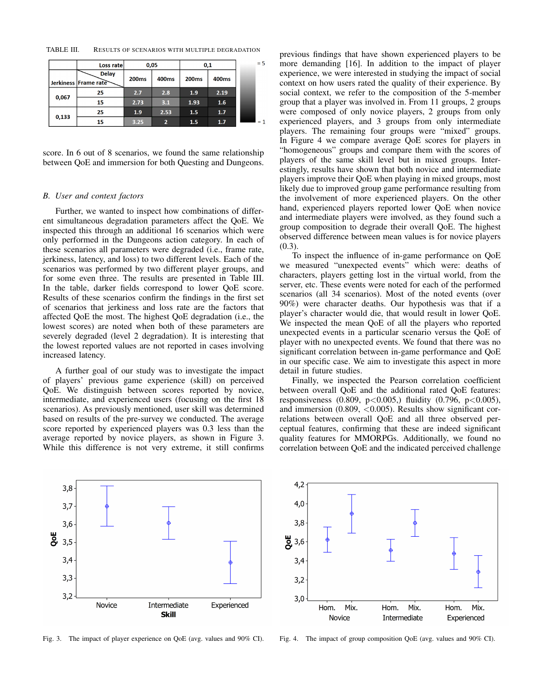TABLE III. RESULTS OF SCENARIOS WITH MULTIPLE DEGRADATION

|       | Loss ratel                           |              | 0,05           | 0,1          | $= 5$            |       |
|-------|--------------------------------------|--------------|----------------|--------------|------------------|-------|
|       | <b>Delay</b><br>Jerkiness Frame rate | <b>200ms</b> | 400ms          | <b>200ms</b> | 400ms            |       |
| 0,067 | 25                                   | 2.7          | 2.8            | 1.9          | 2.19             |       |
|       | 15                                   | 2.73         | 3.1            | 1.93         | $1.6\phantom{0}$ |       |
|       | 25                                   | 1.9          | 2.53           | 1.5          | 1.7              |       |
| 0,133 | 15                                   | 3.25         | $\overline{2}$ | 1.5          | 1.7              | $= 1$ |

score. In 6 out of 8 scenarios, we found the same relationship between QoE and immersion for both Questing and Dungeons.

#### *B. User and context factors*

Further, we wanted to inspect how combinations of different simultaneous degradation parameters affect the QoE. We inspected this through an additional 16 scenarios which were only performed in the Dungeons action category. In each of these scenarios all parameters were degraded (i.e., frame rate, jerkiness, latency, and loss) to two different levels. Each of the scenarios was performed by two different player groups, and for some even three. The results are presented in Table III. In the table, darker fields correspond to lower QoE score. Results of these scenarios confirm the findings in the first set of scenarios that jerkiness and loss rate are the factors that affected QoE the most. The highest QoE degradation (i.e., the lowest scores) are noted when both of these parameters are severely degraded (level 2 degradation). It is interesting that the lowest reported values are not reported in cases involving increased latency.

A further goal of our study was to investigate the impact of players' previous game experience (skill) on perceived QoE. We distinguish between scores reported by novice, intermediate, and experienced users (focusing on the first 18 scenarios). As previously mentioned, user skill was determined based on results of the pre-survey we conducted. The average score reported by experienced players was 0.3 less than the average reported by novice players, as shown in Figure 3. While this difference is not very extreme, it still confirms previous findings that have shown experienced players to be more demanding [16]. In addition to the impact of player experience, we were interested in studying the impact of social context on how users rated the quality of their experience. By social context, we refer to the composition of the 5-member group that a player was involved in. From 11 groups, 2 groups were composed of only novice players, 2 groups from only experienced players, and 3 groups from only intermediate players. The remaining four groups were "mixed" groups. In Figure 4 we compare average QoE scores for players in "homogeneous" groups and compare them with the scores of players of the same skill level but in mixed groups. Interestingly, results have shown that both novice and intermediate players improve their QoE when playing in mixed groups, most likely due to improved group game performance resulting from the involvement of more experienced players. On the other hand, experienced players reported lower QoE when novice and intermediate players were involved, as they found such a group composition to degrade their overall QoE. The highest observed difference between mean values is for novice players (0.3).

To inspect the influence of in-game performance on QoE we measured "unexpected events" which were: deaths of characters, players getting lost in the virtual world, from the server, etc. These events were noted for each of the performed scenarios (all 34 scenarios). Most of the noted events (over 90%) were character deaths. Our hypothesis was that if a player's character would die, that would result in lower QoE. We inspected the mean QoE of all the players who reported unexpected events in a particular scenario versus the QoE of player with no unexpected events. We found that there was no significant correlation between in-game performance and QoE in our specific case. We aim to investigate this aspect in more detail in future studies.

Finally, we inspected the Pearson correlation coefficient between overall QoE and the additional rated QoE features: responsiveness (0.809, p<0.005,) fluidity (0.796, p<0.005), and immersion  $(0.809, <0.005)$ . Results show significant correlations between overall QoE and all three observed perceptual features, confirming that these are indeed significant quality features for MMORPGs. Additionally, we found no correlation between QoE and the indicated perceived challenge





Fig. 3. The impact of player experience on QoE (avg. values and 90% CI).

Fig. 4. The impact of group composition QoE (avg. values and 90% CI).